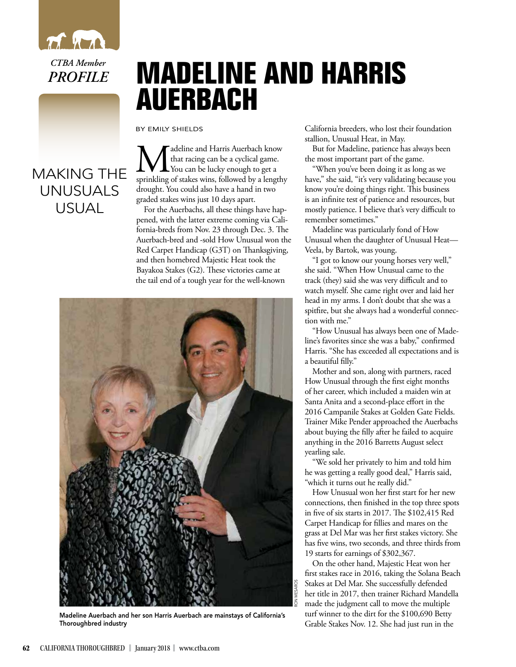

*CTBA Member PROFILE*

## **MADELINE AND HARRIS AUERBACH**

BY EMILY SHIELDS

## MAKING THE UNUSUALS USUAL

**M** deline and Harris Auerbach know<br>
You can be lucky enough to get a<br>
sprinkling of stakes wins, followed by a lengthy that racing can be a cyclical game. You can be lucky enough to get a drought. You could also have a hand in two graded stakes wins just 10 days apart.

For the Auerbachs, all these things have happened, with the latter extreme coming via California-breds from Nov. 23 through Dec. 3. The Auerbach-bred and -sold How Unusual won the Red Carpet Handicap (G3T) on Thanksgiving, and then homebred Majestic Heat took the Bayakoa Stakes (G2). These victories came at the tail end of a tough year for the well-known



Madeline Auerbach and her son Harris Auerbach are mainstays of California's Thoroughbred industry

California breeders, who lost their foundation stallion, Unusual Heat, in May.

But for Madeline, patience has always been the most important part of the game.

"When you've been doing it as long as we have," she said, "it's very validating because you know you're doing things right. This business is an infinite test of patience and resources, but mostly patience. I believe that's very difficult to remember sometimes."

Madeline was particularly fond of How Unusual when the daughter of Unusual Heat— Veela, by Bartok, was young.

"I got to know our young horses very well," she said. "When How Unusual came to the track (they) said she was very difficult and to watch myself. She came right over and laid her head in my arms. I don't doubt that she was a spitfire, but she always had a wonderful connection with me."

"How Unusual has always been one of Madeline's favorites since she was a baby," confirmed Harris. "She has exceeded all expectations and is a beautiful filly."

Mother and son, along with partners, raced How Unusual through the first eight months of her career, which included a maiden win at Santa Anita and a second-place effort in the 2016 Campanile Stakes at Golden Gate Fields. Trainer Mike Pender approached the Auerbachs about buying the filly after he failed to acquire anything in the 2016 Barretts August select yearling sale.

"We sold her privately to him and told him he was getting a really good deal," Harris said, "which it turns out he really did."

How Unusual won her first start for her new connections, then finished in the top three spots in five of six starts in 2017. The \$102,415 Red Carpet Handicap for fillies and mares on the grass at Del Mar was her first stakes victory. She has five wins, two seconds, and three thirds from 19 starts for earnings of \$302,367.

On the other hand, Majestic Heat won her first stakes race in 2016, taking the Solana Beach Stakes at Del Mar. She successfully defended her title in 2017, then trainer Richard Mandella made the judgment call to move the multiple turf winner to the dirt for the \$100,690 Betty Grable Stakes Nov. 12. She had just run in the